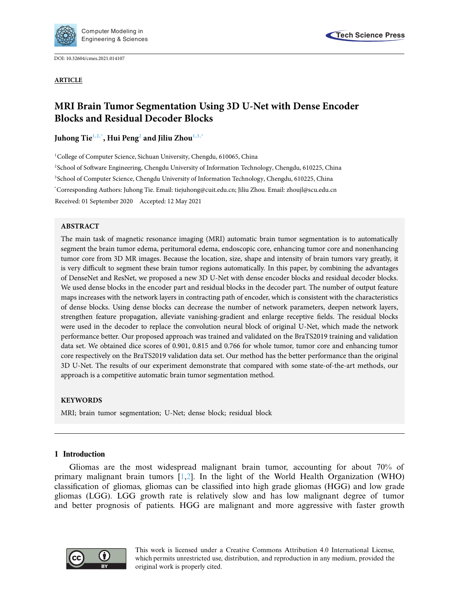

DOI: [10.32604/cmes.2021.014107](http://dx.doi.org/10.32604/cmes.2021.014107)

**ARTICLE**



# **MRI Brain Tumor Segmentation Using 3D U-Net with Dense Encoder Blocks and Residual Decoder Blocks**

**Juhong Ti[e1](#page-0-0)[,2](#page-0-1)[,\\*,](#page-0-2) Hui Pen[g2](#page-0-1) and Jiliu Zho[u1,](#page-0-0)[3,](#page-0-3)[\\*](#page-0-2)**

<span id="page-0-0"></span><sup>1</sup>College of Computer Science, Sichuan University, Chengdu, 610065, China

<span id="page-0-1"></span>2School of Software Engineering, Chengdu University of Information Technology, Chengdu, 610225, China

<span id="page-0-3"></span>3School of Computer Science, Chengdu University of Information Technology, Chengdu, 610225, China

<span id="page-0-2"></span>\* Corresponding Authors: Juhong Tie. Email: tiejuhong@cuit.edu.cn; Jiliu Zhou. Email: zhoujl@scu.edu.cn

Received: 01 September 2020 Accepted: 12 May 2021

# **ABSTRACT**

The main task of magnetic resonance imaging (MRI) automatic brain tumor segmentation is to automatically segment the brain tumor edema, peritumoral edema, endoscopic core, enhancing tumor core and nonenhancing tumor core from 3D MR images. Because the location, size, shape and intensity of brain tumors vary greatly, it is very difficult to segment these brain tumor regions automatically. In this paper, by combining the advantages of DenseNet and ResNet, we proposed a new 3D U-Net with dense encoder blocks and residual decoder blocks. We used dense blocks in the encoder part and residual blocks in the decoder part. The number of output feature maps increases with the network layers in contracting path of encoder, which is consistent with the characteristics of dense blocks. Using dense blocks can decrease the number of network parameters, deepen network layers, strengthen feature propagation, alleviate vanishing-gradient and enlarge receptive fields. The residual blocks were used in the decoder to replace the convolution neural block of original U-Net, which made the network performance better. Our proposed approach was trained and validated on the BraTS2019 training and validation data set. We obtained dice scores of 0.901, 0.815 and 0.766 for whole tumor, tumor core and enhancing tumor core respectively on the BraTS2019 validation data set. Our method has the better performance than the original 3D U-Net. The results of our experiment demonstrate that compared with some state-of-the-art methods, our approach is a competitive automatic brain tumor segmentation method.

# **KEYWORDS**

MRI; brain tumor segmentation; U-Net; dense block; residual block

# **1 Introduction**

Gliomas are the most widespread malignant brain tumor, accounting for about 70% of primary malignant brain tumors  $[1,2]$  $[1,2]$  $[1,2]$ . In the light of the World Health Organization (WHO) classification of gliomas, gliomas can be classified into high grade gliomas (HGG) and low grade gliomas (LGG). LGG growth rate is relatively slow and has low malignant degree of tumor and better prognosis of patients. HGG are malignant and more aggressive with faster growth

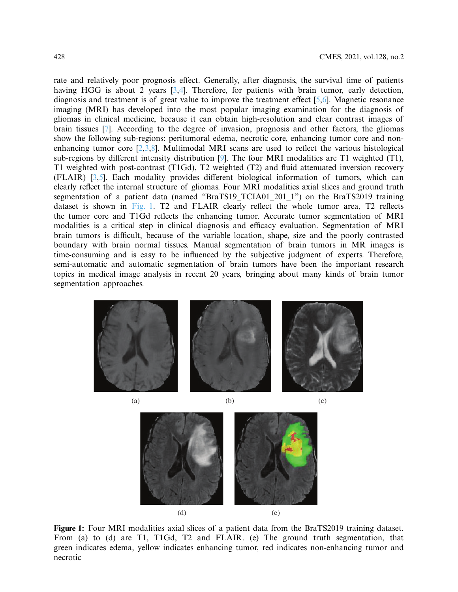rate and relatively poor prognosis effect. Generally, after diagnosis, the survival time of patients having HGG is about 2 years [\[3](#page-14-2)[,4](#page-14-3)]. Therefore, for patients with brain tumor, early detection, diagnosis and treatment is of great value to improve the treatment effect [\[5](#page-14-4)[,6\]](#page-15-0). Magnetic resonance imaging (MRI) has developed into the most popular imaging examination for the diagnosis of gliomas in clinical medicine, because it can obtain high-resolution and clear contrast images of brain tissues [\[7](#page-15-1)]. According to the degree of invasion, prognosis and other factors, the gliomas show the following sub-regions: peritumoral edema, necrotic core, enhancing tumor core and nonenhancing tumor core  $[2,3,8]$  $[2,3,8]$  $[2,3,8]$ . Multimodal MRI scans are used to reflect the various histological sub-regions by different intensity distribution [\[9\]](#page-15-3). The four MRI modalities are T1 weighted (T1), T1 weighted with post-contrast (T1Gd), T2 weighted (T2) and fluid attenuated inversion recovery (FLAIR) [\[3](#page-14-2)[,5\]](#page-14-4). Each modality provides different biological information of tumors, which can clearly reflect the internal structure of gliomas. Four MRI modalities axial slices and ground truth segmentation of a patient data (named "BraTS19\_TCIA01\_201\_1") on the BraTS2019 training dataset is shown in [Fig. 1.](#page-1-0) T2 and FLAIR clearly reflect the whole tumor area, T2 reflects the tumor core and T1Gd reflects the enhancing tumor. Accurate tumor segmentation of MRI modalities is a critical step in clinical diagnosis and efficacy evaluation. Segmentation of MRI brain tumors is difficult, because of the variable location, shape, size and the poorly contrasted boundary with brain normal tissues. Manual segmentation of brain tumors in MR images is time-consuming and is easy to be influenced by the subjective judgment of experts. Therefore, semi-automatic and automatic segmentation of brain tumors have been the important research topics in medical image analysis in recent 20 years, bringing about many kinds of brain tumor segmentation approaches.



<span id="page-1-0"></span>

**Figure 1:** Four MRI modalities axial slices of a patient data from the BraTS2019 training dataset. From (a) to (d) are T1, T1Gd, T2 and FLAIR. (e) The ground truth segmentation, that green indicates edema, yellow indicates enhancing tumor, red indicates non-enhancing tumor and necrotic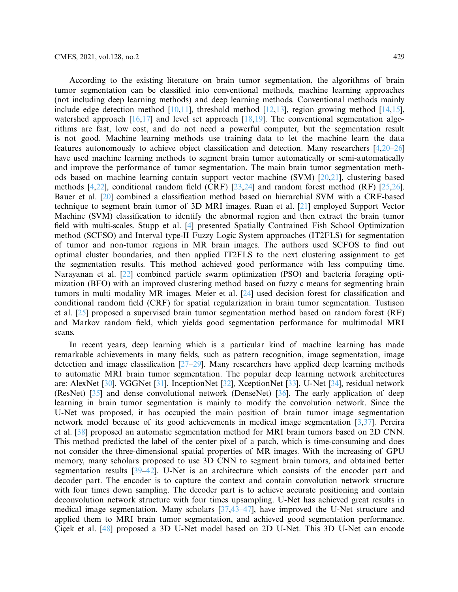According to the existing literature on brain tumor segmentation, the algorithms of brain tumor segmentation can be classified into conventional methods, machine learning approaches (not including deep learning methods) and deep learning methods. Conventional methods mainly include edge detection method  $[10,11]$  $[10,11]$ , threshold method  $[12,13]$  $[12,13]$  $[12,13]$ , region growing method  $[14,15]$  $[14,15]$  $[14,15]$ , watershed approach  $[16,17]$  $[16,17]$  $[16,17]$  and level set approach  $[18,19]$  $[18,19]$ . The conventional segmentation algorithms are fast, low cost, and do not need a powerful computer, but the segmentation result is not good. Machine learning methods use training data to let the machine learn the data features autonomously to achieve object classification and detection. Many researchers [\[4](#page-14-3)[,20](#page-15-14)[–26](#page-16-0)] have used machine learning methods to segment brain tumor automatically or semi-automatically and improve the performance of tumor segmentation. The main brain tumor segmentation methods based on machine learning contain support vector machine (SVM) [\[20](#page-15-14)[,21\]](#page-15-15), clustering based methods  $[4,22]$  $[4,22]$ , conditional random field (CRF)  $[23,24]$  $[23,24]$  and random forest method (RF)  $[25,26]$  $[25,26]$  $[25,26]$ . Bauer et al. [\[20](#page-15-14)] combined a classification method based on hierarchial SVM with a CRF-based technique to segment brain tumor of 3D MRI images. Ruan et al. [\[21](#page-15-15)] employed Support Vector Machine (SVM) classification to identify the abnormal region and then extract the brain tumor field with multi-scales. Stupp et al. [\[4\]](#page-14-3) presented Spatially Contrained Fish School Optimization method (SCFSO) and Interval type-II Fuzzy Logic System approaches (IT2FLS) for segmentation of tumor and non-tumor regions in MR brain images. The authors used SCFOS to find out optimal cluster boundaries, and then applied IT2FLS to the next clustering assignment to get the segmentation results. This method achieved good performance with less computing time. Narayanan et al. [\[22\]](#page-15-16) combined particle swarm optimization (PSO) and bacteria foraging optimization (BFO) with an improved clustering method based on fuzzy c means for segmenting brain tumors in multi modality MR images. Meier et al. [\[24\]](#page-16-2) used decision forest for classification and conditional random field (CRF) for spatial regularization in brain tumor segmentation. Tustison et al. [\[25\]](#page-16-3) proposed a supervised brain tumor segmentation method based on random forest (RF) and Markov random field, which yields good segmentation performance for multimodal MRI scans.

In recent years, deep learning which is a particular kind of machine learning has made remarkable achievements in many fields, such as pattern recognition, image segmentation, image detection and image classification [\[27](#page-16-4)[–29](#page-16-5)]. Many researchers have applied deep learning methods to automatic MRI brain tumor segmentation. The popular deep learning network architectures are: AlexNet [\[30](#page-16-6)], VGGNet [\[31\]](#page-16-7), InceptionNet [\[32\]](#page-16-8), XceptionNet [\[33](#page-16-9)], U-Net [\[34](#page-16-10)], residual network (ResNet) [\[35\]](#page-16-11) and dense convolutional network (DenseNet) [\[36\]](#page-16-12). The early application of deep learning in brain tumor segmentation is mainly to modify the convolution network. Since the U-Net was proposed, it has occupied the main position of brain tumor image segmentation network model because of its good achievements in medical image segmentation [\[3](#page-14-2)[,37](#page-16-13)]. Pereira et al. [\[38](#page-16-14)] proposed an automatic segmentation method for MRI brain tumors based on 2D CNN. This method predicted the label of the center pixel of a patch, which is time-consuming and does not consider the three-dimensional spatial properties of MR images. With the increasing of GPU memory, many scholars proposed to use 3D CNN to segment brain tumors, and obtained better segmentation results [\[39](#page-16-15)[–42\]](#page-17-0). U-Net is an architecture which consists of the encoder part and decoder part. The encoder is to capture the context and contain convolution network structure with four times down sampling. The decoder part is to achieve accurate positioning and contain deconvolution network structure with four times upsampling. U-Net has achieved great results in medical image segmentation. Many scholars [\[37](#page-16-13)[,43](#page-17-1)[–47](#page-17-2)], have improved the U-Net structure and applied them to MRI brain tumor segmentation, and achieved good segmentation performance. Çiçek et al. [\[48\]](#page-17-3) proposed a 3D U-Net model based on 2D U-Net. This 3D U-Net can encode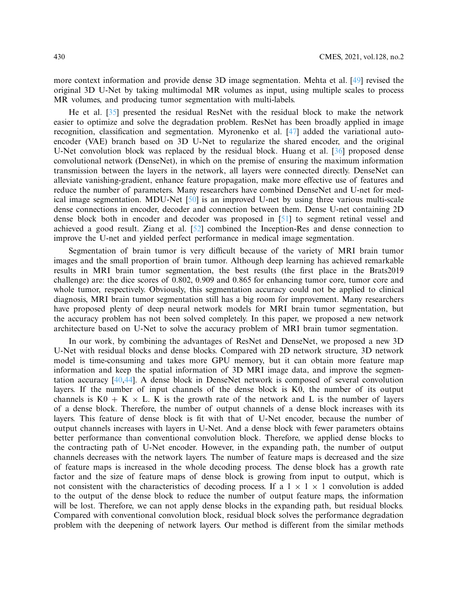more context information and provide dense 3D image segmentation. Mehta et al. [\[49\]](#page-17-4) revised the original 3D U-Net by taking multimodal MR volumes as input, using multiple scales to process MR volumes, and producing tumor segmentation with multi-labels.

He et al. [\[35](#page-16-11)] presented the residual ResNet with the residual block to make the network easier to optimize and solve the degradation problem. ResNet has been broadly applied in image recognition, classification and segmentation. Myronenko et al. [\[47\]](#page-17-2) added the variational autoencoder (VAE) branch based on 3D U-Net to regularize the shared encoder, and the original U-Net convolution block was replaced by the residual block. Huang et al. [\[36\]](#page-16-12) proposed dense convolutional network (DenseNet), in which on the premise of ensuring the maximum information transmission between the layers in the network, all layers were connected directly. DenseNet can alleviate vanishing-gradient, enhance feature propagation, make more effective use of features and reduce the number of parameters. Many researchers have combined DenseNet and U-net for medical image segmentation. MDU-Net [\[50\]](#page-17-5) is an improved U-net by using three various multi-scale dense connections in encoder, decoder and connection between them. Dense U-net containing 2D dense block both in encoder and decoder was proposed in [\[51\]](#page-17-6) to segment retinal vessel and achieved a good result. Ziang et al. [\[52](#page-17-7)] combined the Inception-Res and dense connection to improve the U-net and yielded perfect performance in medical image segmentation.

Segmentation of brain tumor is very difficult because of the variety of MRI brain tumor images and the small proportion of brain tumor. Although deep learning has achieved remarkable results in MRI brain tumor segmentation, the best results (the first place in the Brats2019 challenge) are: the dice scores of 0.802, 0.909 and 0.865 for enhancing tumor core, tumor core and whole tumor, respectively. Obviously, this segmentation accuracy could not be applied to clinical diagnosis, MRI brain tumor segmentation still has a big room for improvement. Many researchers have proposed plenty of deep neural network models for MRI brain tumor segmentation, but the accuracy problem has not been solved completely. In this paper, we proposed a new network architecture based on U-Net to solve the accuracy problem of MRI brain tumor segmentation.

In our work, by combining the advantages of ResNet and DenseNet, we proposed a new 3D U-Net with residual blocks and dense blocks. Compared with 2D network structure, 3D network model is time-consuming and takes more GPU memory, but it can obtain more feature map information and keep the spatial information of 3D MRI image data, and improve the segmentation accuracy [\[40](#page-16-16)[,44\]](#page-17-8). A dense block in DenseNet network is composed of several convolution layers. If the number of input channels of the dense block is K0, the number of its output channels is  $K0 + K \times L$ . K is the growth rate of the network and L is the number of layers of a dense block. Therefore, the number of output channels of a dense block increases with its layers. This feature of dense block is fit with that of U-Net encoder, because the number of output channels increases with layers in U-Net. And a dense block with fewer parameters obtains better performance than conventional convolution block. Therefore, we applied dense blocks to the contracting path of U-Net encoder. However, in the expanding path, the number of output channels decreases with the network layers. The number of feature maps is decreased and the size of feature maps is increased in the whole decoding process. The dense block has a growth rate factor and the size of feature maps of dense block is growing from input to output, which is not consistent with the characteristics of decoding process. If a  $1 \times 1 \times 1$  convolution is added to the output of the dense block to reduce the number of output feature maps, the information will be lost. Therefore, we can not apply dense blocks in the expanding path, but residual blocks. Compared with conventional convolution block, residual block solves the performance degradation problem with the deepening of network layers. Our method is different from the similar methods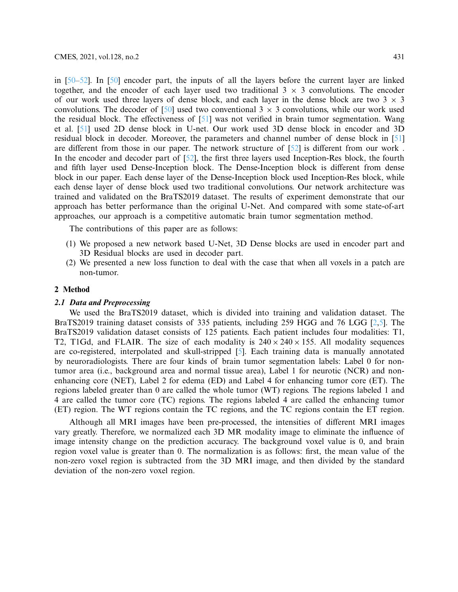in [\[50](#page-17-5)[–52](#page-17-7)]. In [\[50\]](#page-17-5) encoder part, the inputs of all the layers before the current layer are linked together, and the encoder of each layer used two traditional  $3 \times 3$  convolutions. The encoder of our work used three layers of dense block, and each layer in the dense block are two  $3 \times 3$ convolutions. The decoder of  $[50]$  used two conventional 3  $\times$  3 convolutions, while our work used the residual block. The effectiveness of [\[51\]](#page-17-6) was not verified in brain tumor segmentation. Wang et al. [\[51\]](#page-17-6) used 2D dense block in U-net. Our work used 3D dense block in encoder and 3D residual block in decoder. Moreover, the parameters and channel number of dense block in [\[51](#page-17-6)] are different from those in our paper. The network structure of [\[52](#page-17-7)] is different from our work . In the encoder and decoder part of [\[52\]](#page-17-7), the first three layers used Inception-Res block, the fourth and fifth layer used Dense-Inception block. The Dense-Inception block is different from dense block in our paper. Each dense layer of the Dense-Inception block used Inception-Res block, while each dense layer of dense block used two traditional convolutions. Our network architecture was trained and validated on the BraTS2019 dataset. The results of experiment demonstrate that our approach has better performance than the original U-Net. And compared with some state-of-art approaches, our approach is a competitive automatic brain tumor segmentation method.

The contributions of this paper are as follows:

- (1) We proposed a new network based U-Net, 3D Dense blocks are used in encoder part and 3D Residual blocks are used in decoder part.
- (2) We presented a new loss function to deal with the case that when all voxels in a patch are non-tumor.

# **2 Method**

# *2.1 Data and Preprocessing*

We used the BraTS2019 dataset, which is divided into training and validation dataset. The BraTS2019 training dataset consists of 335 patients, including 259 HGG and 76 LGG [\[2](#page-14-1)[,5\]](#page-14-4). The BraTS2019 validation dataset consists of 125 patients. Each patient includes four modalities: T1, T2, T1Gd, and FLAIR. The size of each modality is  $240 \times 240 \times 155$ . All modality sequences are co-registered, interpolated and skull-stripped [\[5\]](#page-14-4). Each training data is manually annotated by neuroradiologists. There are four kinds of brain tumor segmentation labels: Label 0 for nontumor area (i.e., background area and normal tissue area), Label 1 for neurotic (NCR) and nonenhancing core (NET), Label 2 for edema (ED) and Label 4 for enhancing tumor core (ET). The regions labeled greater than 0 are called the whole tumor (WT) regions. The regions labeled 1 and 4 are called the tumor core (TC) regions. The regions labeled 4 are called the enhancing tumor (ET) region. The WT regions contain the TC regions, and the TC regions contain the ET region.

Although all MRI images have been pre-processed, the intensities of different MRI images vary greatly. Therefore, we normalized each 3D MR modality image to eliminate the influence of image intensity change on the prediction accuracy. The background voxel value is 0, and brain region voxel value is greater than 0. The normalization is as follows: first, the mean value of the non-zero voxel region is subtracted from the 3D MRI image, and then divided by the standard deviation of the non-zero voxel region.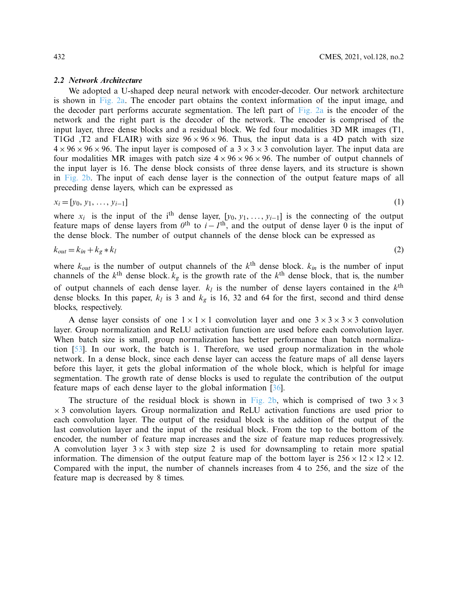#### *2.2 Network Architecture*

We adopted a U-shaped deep neural network with encoder-decoder. Our network architecture is shown in [Fig. 2a.](#page-6-0) The encoder part obtains the context information of the input image, and the decoder part performs accurate segmentation. The left part of [Fig. 2a](#page-6-0) is the encoder of the network and the right part is the decoder of the network. The encoder is comprised of the input layer, three dense blocks and a residual block. We fed four modalities 3D MR images (T1, T1Gd ,T2 and FLAIR) with size  $96 \times 96 \times 96$ . Thus, the input data is a 4D patch with size  $4 \times 96 \times 96 \times 96$ . The input layer is composed of a  $3 \times 3 \times 3$  convolution layer. The input data are four modalities MR images with patch size  $4 \times 96 \times 96 \times 96$ . The number of output channels of the input layer is 16. The dense block consists of three dense layers, and its structure is shown in [Fig. 2b.](#page-6-0) The input of each dense layer is the connection of the output feature maps of all preceding dense layers, which can be expressed as

$$
x_i = [y_0, y_1, \dots, y_{i-1}]
$$
\n(1)

where  $x_i$  is the input of the i<sup>th</sup> dense layer,  $[y_0, y_1, \ldots, y_{i-1}]$  is the connecting of the output feature maps of dense layers from  $0$ <sup>th</sup> to  $i - I$ <sup>th</sup>, and the output of dense layer 0 is the input of the dense block. The number of output channels of the dense block can be expressed as

$$
k_{out} = k_{in} + k_g * k_l \tag{2}
$$

where  $k_{out}$  is the number of output channels of the  $k^{\text{th}}$  dense block.  $k_{in}$  is the number of input channels of the  $k<sup>th</sup>$  dense block.  $k<sub>g</sub>$  is the growth rate of the  $k<sup>th</sup>$  dense block, that is, the number of output channels of each dense layer.  $k_l$  is the number of dense layers contained in the  $k<sup>th</sup>$ dense blocks. In this paper,  $k_l$  is 3 and  $k_g$  is 16, 32 and 64 for the first, second and third dense blocks, respectively.

A dense layer consists of one  $1 \times 1 \times 1$  convolution layer and one  $3 \times 3 \times 3 \times 3$  convolution layer. Group normalization and ReLU activation function are used before each convolution layer. When batch size is small, group normalization has better performance than batch normalization [\[53\]](#page-17-9). In our work, the batch is 1. Therefore, we used group normalization in the whole network. In a dense block, since each dense layer can access the feature maps of all dense layers before this layer, it gets the global information of the whole block, which is helpful for image segmentation. The growth rate of dense blocks is used to regulate the contribution of the output feature maps of each dense layer to the global information [\[36](#page-16-12)].

The structure of the residual block is shown in [Fig. 2b,](#page-6-0) which is comprised of two  $3 \times 3$  $\times$  3 convolution layers. Group normalization and ReLU activation functions are used prior to each convolution layer. The output of the residual block is the addition of the output of the last convolution layer and the input of the residual block. From the top to the bottom of the encoder, the number of feature map increases and the size of feature map reduces progressively. A convolution layer  $3 \times 3$  with step size 2 is used for downsampling to retain more spatial information. The dimension of the output feature map of the bottom layer is  $256 \times 12 \times 12 \times 12$ . Compared with the input, the number of channels increases from 4 to 256, and the size of the feature map is decreased by 8 times.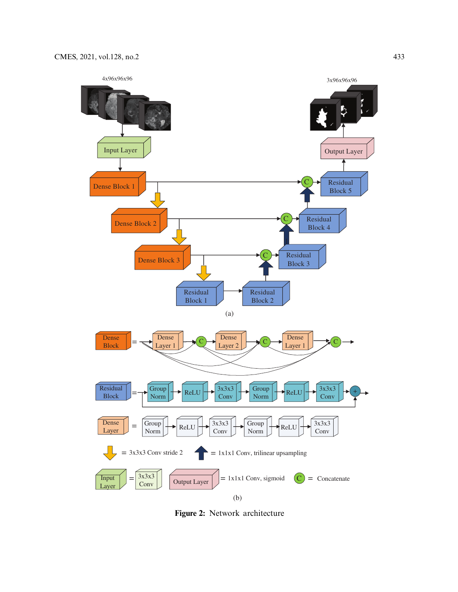

<span id="page-6-0"></span>**Figure 2:** Network architecture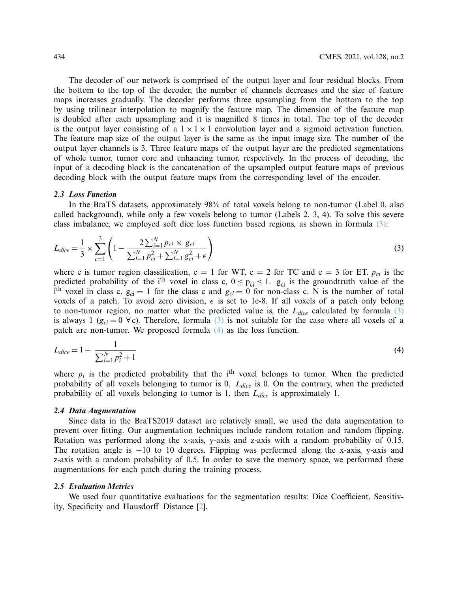The decoder of our network is comprised of the output layer and four residual blocks. From the bottom to the top of the decoder, the number of channels decreases and the size of feature maps increases gradually. The decoder performs three upsampling from the bottom to the top by using trilinear interpolation to magnify the feature map. The dimension of the feature map is doubled after each upsampling and it is magnified 8 times in total. The top of the decoder is the output layer consisting of a  $1 \times 1 \times 1$  convolution layer and a sigmoid activation function. The feature map size of the output layer is the same as the input image size. The number of the output layer channels is 3. Three feature maps of the output layer are the predicted segmentations of whole tumor, tumor core and enhancing tumor, respectively. In the process of decoding, the input of a decoding block is the concatenation of the upsampled output feature maps of previous decoding block with the output feature maps from the corresponding level of the encoder.

#### *2.3 Loss Function*

In the BraTS datasets, approximately 98% of total voxels belong to non-tumor (Label 0, also called background), while only a few voxels belong to tumor (Labels 2, 3, 4). To solve this severe class imbalance, we employed soft dice loss function based regions, as shown in formula [\(3\):](#page-7-0)

<span id="page-7-0"></span>
$$
L_{dice} = \frac{1}{3} \times \sum_{c=1}^{3} \left( 1 - \frac{2 \sum_{i=1}^{N} p_{ci} \times g_{ci}}{\sum_{i=1}^{N} p_{ci}^{2} + \sum_{i=1}^{N} g_{ci}^{2} + \epsilon} \right)
$$
(3)

where c is tumor region classification,  $c = 1$  for WT,  $c = 2$  for TC and  $c = 3$  for ET.  $p_{ci}$  is the predicted probability of the i<sup>th</sup> voxel in class c,  $0 \le p_{ci} \le 1$ .  $g_{ci}$  is the groundtruth value of the i<sup>th</sup> voxel in class c,  $g_{ci} = 1$  for the class c and  $g_{ci} = 0$  for non-class c. N is the number of total voxels of a patch. To avoid zero division,  $\epsilon$  is set to 1e-8. If all voxels of a patch only belong to non-tumor region, no matter what the predicted value is, the  $L_{dice}$  calculated by formula  $(3)$ is always 1 ( $g_{ci} = 0 \ \forall c$ ). Therefore, formula [\(3\)](#page-7-0) is not suitable for the case where all voxels of a patch are non-tumor. We proposed formula [\(4\)](#page-7-1) as the loss function.

<span id="page-7-1"></span>
$$
L_{dice} = 1 - \frac{1}{\sum_{i=1}^{N} p_i^2 + 1} \tag{4}
$$

where  $p_i$  is the predicted probability that the i<sup>th</sup> voxel belongs to tumor. When the predicted probability of all voxels belonging to tumor is 0, *Ldice* is 0. On the contrary, when the predicted probability of all voxels belonging to tumor is 1, then *Ldice* is approximately 1.

#### *2.4 Data Augmentation*

Since data in the BraTS2019 dataset are relatively small, we used the data augmentation to prevent over fitting. Our augmentation techniques include random rotation and random flipping. Rotation was performed along the x-axis, y-axis and z-axis with a random probability of 0.15. The rotation angle is −10 to 10 degrees. Flipping was performed along the x-axis, y-axis and z-axis with a random probability of 0.5. In order to save the memory space, we performed these augmentations for each patch during the training process.

#### *2.5 Evaluation Metrics*

We used four quantitative evaluations for the segmentation results: Dice Coefficient, Sensitivity, Specificity and Hausdorff Distance [\[2\]](#page-14-1).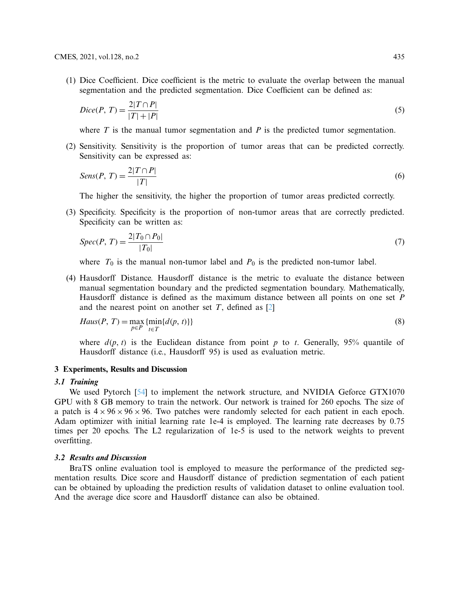(1) Dice Coefficient. Dice coefficient is the metric to evaluate the overlap between the manual segmentation and the predicted segmentation. Dice Coefficient can be defined as:

$$
Dice(P, T) = \frac{2|T \cap P|}{|T| + |P|}
$$
\n<sup>(5)</sup>

where  $T$  is the manual tumor segmentation and  $P$  is the predicted tumor segmentation.

(2) Sensitivity. Sensitivity is the proportion of tumor areas that can be predicted correctly. Sensitivity can be expressed as:

$$
Sens(P, T) = \frac{2|T \cap P|}{|T|} \tag{6}
$$

The higher the sensitivity, the higher the proportion of tumor areas predicted correctly.

(3) Specificity. Specificity is the proportion of non-tumor areas that are correctly predicted. Specificity can be written as:

$$
Spec(P, T) = \frac{2|T_0 \cap P_0|}{|T_0|} \tag{7}
$$

where  $T_0$  is the manual non-tumor label and  $P_0$  is the predicted non-tumor label.

(4) Hausdorff Distance. Hausdorff distance is the metric to evaluate the distance between manual segmentation boundary and the predicted segmentation boundary. Mathematically, Hausdorff distance is defined as the maximum distance between all points on one set *P* and the nearest point on another set *T*, defined as [\[2](#page-14-1)]

$$
Haus(P, T) = \max_{p \in P} \{ \min_{t \in T} \{ d(p, t) \} \}
$$
\n
$$
(8)
$$

where  $d(p, t)$  is the Euclidean distance from point p to t. Generally, 95% quantile of Hausdorff distance (i.e., Hausdorff 95) is used as evaluation metric.

# **3 Experiments, Results and Discussion**

# *3.1 Training*

We used Pytorch [\[54](#page-17-10)] to implement the network structure, and NVIDIA Geforce GTX1070 GPU with 8 GB memory to train the network. Our network is trained for 260 epochs. The size of a patch is  $4 \times 96 \times 96 \times 96$ . Two patches were randomly selected for each patient in each epoch. Adam optimizer with initial learning rate 1e-4 is employed. The learning rate decreases by 0.75 times per 20 epochs. The L2 regularization of 1e-5 is used to the network weights to prevent overfitting.

# *3.2 Results and Discussion*

BraTS online evaluation tool is employed to measure the performance of the predicted segmentation results. Dice score and Hausdorff distance of prediction segmentation of each patient can be obtained by uploading the prediction results of validation dataset to online evaluation tool. And the average dice score and Hausdorff distance can also be obtained.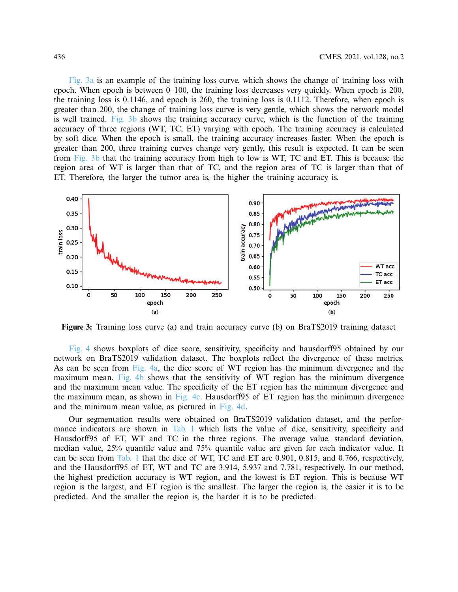[Fig. 3a](#page-9-0) is an example of the training loss curve, which shows the change of training loss with epoch. When epoch is between 0–100, the training loss decreases very quickly. When epoch is 200, the training loss is 0.1146, and epoch is 260, the training loss is 0.1112. Therefore, when epoch is greater than 200, the change of training loss curve is very gentle, which shows the network model is well trained. [Fig. 3b](#page-9-0) shows the training accuracy curve, which is the function of the training accuracy of three regions (WT, TC, ET) varying with epoch. The training accuracy is calculated by soft dice. When the epoch is small, the training accuracy increases faster. When the epoch is greater than 200, three training curves change very gently, this result is expected. It can be seen from [Fig. 3b](#page-9-0) that the training accuracy from high to low is WT, TC and ET. This is because the region area of WT is larger than that of TC, and the region area of TC is larger than that of ET. Therefore, the larger the tumor area is, the higher the training accuracy is.



<span id="page-9-0"></span>**Figure 3:** Training loss curve (a) and train accuracy curve (b) on BraTS2019 training dataset

[Fig. 4](#page-10-0) shows boxplots of dice score, sensitivity, specificity and hausdorff95 obtained by our network on BraTS2019 validation dataset. The boxplots reflect the divergence of these metrics. As can be seen from [Fig. 4a,](#page-10-0) the dice score of WT region has the minimum divergence and the maximum mean. [Fig. 4b](#page-10-0) shows that the sensitivity of WT region has the minimum divergence and the maximum mean value. The specificity of the ET region has the minimum divergence and the maximum mean, as shown in [Fig. 4c.](#page-10-0) Hausdorff95 of ET region has the minimum divergence and the minimum mean value, as pictured in [Fig. 4d.](#page-10-0)

Our segmentation results were obtained on BraTS2019 validation dataset, and the perfor-mance indicators are shown in [Tab. 1](#page-11-0) which lists the value of dice, sensitivity, specificity and Hausdorff95 of ET, WT and TC in the three regions. The average value, standard deviation, median value, 25% quantile value and 75% quantile value are given for each indicator value. It can be seen from [Tab. 1](#page-11-0) that the dice of WT, TC and ET are 0.901, 0.815, and 0.766, respectively, and the Hausdorff95 of ET, WT and TC are 3.914, 5.937 and 7.781, respectively. In our method, the highest prediction accuracy is WT region, and the lowest is ET region. This is because WT region is the largest, and ET region is the smallest. The larger the region is, the easier it is to be predicted. And the smaller the region is, the harder it is to be predicted.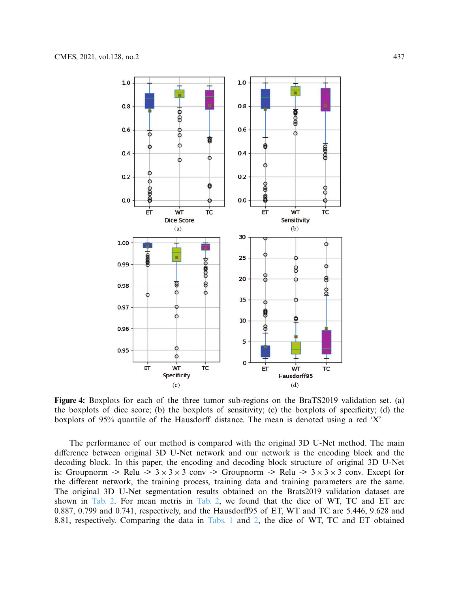

<span id="page-10-0"></span>**Figure 4:** Boxplots for each of the three tumor sub-regions on the BraTS2019 validation set. (a) the boxplots of dice score; (b) the boxplots of sensitivity; (c) the boxplots of specificity; (d) the boxplots of 95% quantile of the Hausdorff distance. The mean is denoted using a red 'X'

The performance of our method is compared with the original 3D U-Net method. The main difference between original 3D U-Net network and our network is the encoding block and the decoding block. In this paper, the encoding and decoding block structure of original 3D U-Net is: Groupnorm -> Relu ->  $3 \times 3 \times 3$  conv -> Groupnorm -> Relu ->  $3 \times 3 \times 3$  conv. Except for the different network, the training process, training data and training parameters are the same. The original 3D U-Net segmentation results obtained on the Brats2019 validation dataset are shown in [Tab. 2.](#page-11-1) For mean metris in [Tab. 2,](#page-11-1) we found that the dice of WT, TC and ET are 0.887, 0.799 and 0.741, respectively, and the Hausdorff95 of ET, WT and TC are 5.446, 9.628 and 8.81, respectively. Comparing the data in [Tabs. 1](#page-11-1) and [2,](#page-11-1) the dice of WT, TC and ET obtained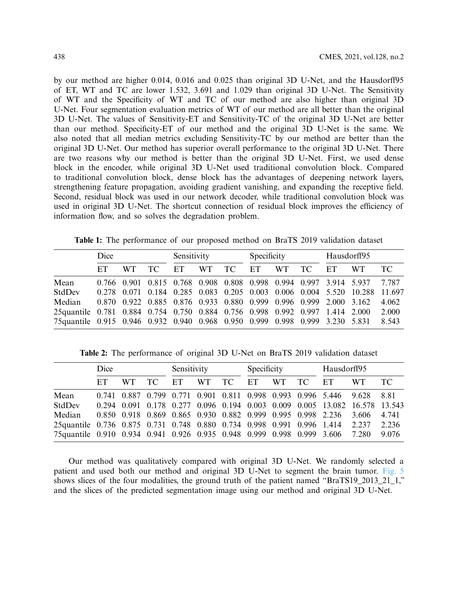by our method are higher 0.014, 0.016 and 0.025 than original 3D U-Net, and the Hausdorff95 of ET, WT and TC are lower 1.532, 3.691 and 1.029 than original 3D U-Net. The Sensitivity of WT and the Specificity of WT and TC of our method are also higher than original 3D U-Net. Four segmentation evaluation metrics of WT of our method are all better than the original 3D U-Net. The values of Sensitivity-ET and Sensitivity-TC of the original 3D U-Net are better than our method. Specificity-ET of our method and the original 3D U-Net is the same. We also noted that all median metrics excluding Sensitivity-TC by our method are better than the original 3D U-Net. Our method has superior overall performance to the original 3D U-Net. There are two reasons why our method is better than the original 3D U-Net. First, we used dense block in the encoder, while original 3D U-Net used traditional convolution block. Compared to traditional convolution block, dense block has the advantages of deepening network layers, strengthening feature propagation, avoiding gradient vanishing, and expanding the receptive field. Second, residual block was used in our network decoder, while traditional convolution block was used in original 3D U-Net. The shortcut connection of residual block improves the efficiency of information flow, and so solves the degradation problem.

**Table 1:** The performance of our proposed method on BraTS 2019 validation dataset

<span id="page-11-0"></span>

|                                                                               | Dice |     | Sensitivity |    |           | Specificity |    |                                                                   | Hausdorff95 |    |                                                                         |        |
|-------------------------------------------------------------------------------|------|-----|-------------|----|-----------|-------------|----|-------------------------------------------------------------------|-------------|----|-------------------------------------------------------------------------|--------|
|                                                                               | ET   | WT. | TC T        | ET | <b>WT</b> | TC -        | ET | <b>WT</b>                                                         | TC.         | ET | WT.                                                                     | TC.    |
| Mean                                                                          |      |     |             |    |           |             |    |                                                                   |             |    | 0.766 0.901 0.815 0.768 0.908 0.808 0.998 0.994 0.997 3.914 5.937 7.787 |        |
| StdDev                                                                        |      |     |             |    |           |             |    |                                                                   |             |    | 0.278 0.071 0.184 0.285 0.083 0.205 0.003 0.006 0.004 5.520 10.288      | 11.697 |
| Median                                                                        |      |     |             |    |           |             |    | 0.870 0.922 0.885 0.876 0.933 0.880 0.999 0.996 0.999 2.000 3.162 |             |    |                                                                         | 4.062  |
| 25 quantile 0.781 0.884 0.754 0.750 0.884 0.756 0.998 0.992 0.997 1.414 2.000 |      |     |             |    |           |             |    |                                                                   |             |    |                                                                         | 2.000  |
| 75 quantile 0.915 0.946 0.932 0.940 0.968 0.950 0.999 0.998 0.999 3.230 5.831 |      |     |             |    |           |             |    |                                                                   |             |    |                                                                         | 8.543  |

**Table 2:** The performance of original 3D U-Net on BraTS 2019 validation dataset

<span id="page-11-1"></span>

|                                                                              | Dice |     | Sensitivity |    |     | Specificity |    |           | Hausdorff95 |                                                                   |                                                                            |       |
|------------------------------------------------------------------------------|------|-----|-------------|----|-----|-------------|----|-----------|-------------|-------------------------------------------------------------------|----------------------------------------------------------------------------|-------|
|                                                                              | ET   | WT. | TC -        | ET | WT. | TC          | ET | <b>WT</b> | TC -        | ET                                                                | WT.                                                                        | TC.   |
| Mean                                                                         |      |     |             |    |     |             |    |           |             | 0.741 0.887 0.799 0.771 0.901 0.811 0.998 0.993 0.996 5.446 9.628 |                                                                            | 8.81  |
| StdDev                                                                       |      |     |             |    |     |             |    |           |             |                                                                   | 0.294 0.091 0.178 0.277 0.096 0.194 0.003 0.009 0.005 13.082 16.578 13.543 |       |
| Median                                                                       |      |     |             |    |     |             |    |           |             | 0.850 0.918 0.869 0.865 0.930 0.882 0.999 0.995 0.998 2.236       | 3.606                                                                      | 4.741 |
| 25quantile 0.736 0.875 0.731 0.748 0.880 0.734 0.998 0.991 0.996 1.414 2.237 |      |     |             |    |     |             |    |           |             |                                                                   |                                                                            | 2.236 |
| 75quantile 0.910 0.934 0.941 0.926 0.935 0.948 0.999 0.998 0.999 3.606       |      |     |             |    |     |             |    |           |             |                                                                   | 7.280                                                                      | 9.076 |

Our method was qualitatively compared with original 3D U-Net. We randomly selected a patient and used both our method and original 3D U-Net to segment the brain tumor. [Fig. 5](#page-12-0) shows slices of the four modalities, the ground truth of the patient named "BraTS19\_2013\_21\_1," and the slices of the predicted segmentation image using our method and original 3D U-Net.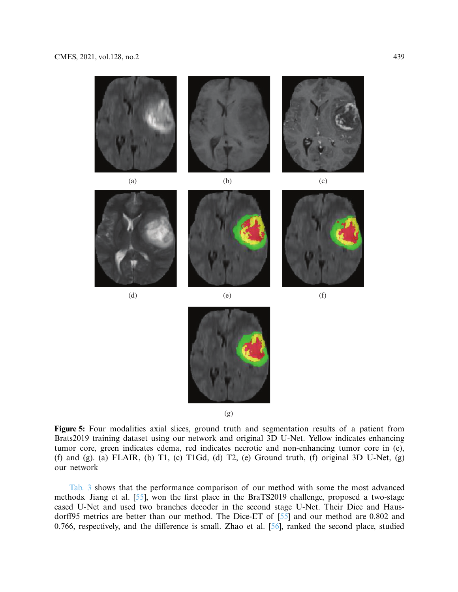

<span id="page-12-0"></span>(g)

**Figure 5:** Four modalities axial slices, ground truth and segmentation results of a patient from Brats2019 training dataset using our network and original 3D U-Net. Yellow indicates enhancing tumor core, green indicates edema, red indicates necrotic and non-enhancing tumor core in (e), (f) and (g). (a) FLAIR, (b) T1, (c) T1Gd, (d) T2, (e) Ground truth, (f) original 3D U-Net, (g) our network

[Tab. 3](#page-13-0) shows that the performance comparison of our method with some the most advanced methods. Jiang et al. [\[55](#page-17-11)], won the first place in the BraTS2019 challenge, proposed a two-stage cased U-Net and used two branches decoder in the second stage U-Net. Their Dice and Hausdorff95 metrics are better than our method. The Dice-ET of [\[55](#page-17-11)] and our method are 0.802 and 0.766, respectively, and the difference is small. Zhao et al. [\[56](#page-17-12)], ranked the second place, studied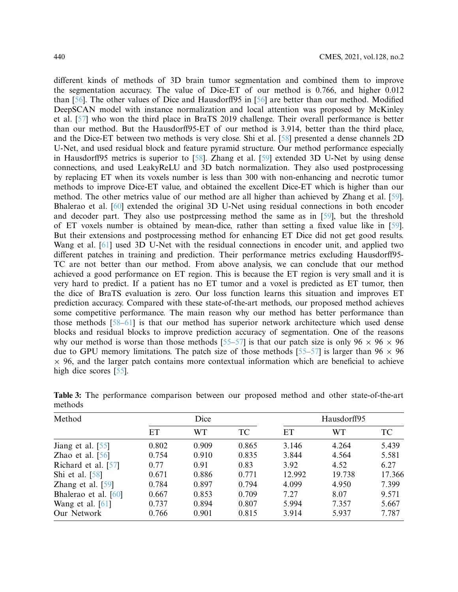different kinds of methods of 3D brain tumor segmentation and combined them to improve the segmentation accuracy. The value of Dice-ET of our method is 0.766, and higher 0.012 than [\[56\]](#page-17-12). The other values of Dice and Hausdorff95 in [\[56](#page-17-12)] are better than our method. Modified DeepSCAN model with instance normalization and local attention was proposed by McKinley et al. [\[57\]](#page-17-13) who won the third place in BraTS 2019 challenge. Their overall performance is better than our method. But the Hausdorff95-ET of our method is 3.914, better than the third place, and the Dice-ET between two methods is very close. Shi et al. [\[58\]](#page-17-14) presented a dense channels 2D U-Net, and used residual block and feature pyramid structure. Our method performance especially in Hausdorff95 metrics is superior to [\[58\]](#page-17-14). Zhang et al. [\[59\]](#page-17-15) extended 3D U-Net by using dense connections, and used LeakyReLU and 3D batch normalization. They also used postprocessing by replacing ET when its voxels number is less than 300 with non-enhancing and necrotic tumor methods to improve Dice-ET value, and obtained the excellent Dice-ET which is higher than our method. The other metrics value of our method are all higher than achieved by Zhang et al. [\[59](#page-17-15)]. Bhalerao et al. [\[60\]](#page-18-0) extended the original 3D U-Net using residual connections in both encoder and decoder part. They also use postprcessing method the same as in [\[59](#page-17-15)], but the threshold of ET voxels number is obtained by mean-dice, rather than setting a fixed value like in [\[59](#page-17-15)]. But their extensions and postprocessing method for enhancing ET Dice did not get good results. Wang et al. [\[61\]](#page-18-1) used 3D U-Net with the residual connections in encoder unit, and applied two different patches in training and prediction. Their performance metrics excluding Hausdorff95- TC are not better than our method. From above analysis, we can conclude that our method achieved a good performance on ET region. This is because the ET region is very small and it is very hard to predict. If a patient has no ET tumor and a voxel is predicted as ET tumor, then the dice of BraTS evaluation is zero. Our loss function learns this situation and improves ET prediction accuracy. Compared with these state-of-the-art methods, our proposed method achieves some competitive performance. The main reason why our method has better performance than those methods [\[58](#page-17-14)[–61\]](#page-18-1) is that our method has superior network architecture which used dense blocks and residual blocks to improve prediction accuracy of segmentation. One of the reasons why our method is worse than those methods [\[55](#page-17-11)[–57\]](#page-17-13) is that our patch size is only 96  $\times$  96  $\times$  96 due to GPU memory limitations. The patch size of those methods [\[55](#page-17-11)[–57](#page-17-13)] is larger than 96  $\times$  96  $\times$  96, and the larger patch contains more contextual information which are beneficial to achieve high dice scores [\[55](#page-17-11)].

| Method               |       | Dice      |       |        | Hausdorff95 |        |
|----------------------|-------|-----------|-------|--------|-------------|--------|
|                      | ET    | <b>WT</b> | TC    | ET     | WТ          | TC.    |
| Jiang et al. [55]    | 0.802 | 0.909     | 0.865 | 3.146  | 4.264       | 5.439  |
| Zhao et al. $[56]$   | 0.754 | 0.910     | 0.835 | 3.844  | 4.564       | 5.581  |
| Richard et al. [57]  | 0.77  | 0.91      | 0.83  | 3.92   | 4.52        | 6.27   |
| Shi et al. $[58]$    | 0.671 | 0.886     | 0.771 | 12.992 | 19.738      | 17.366 |
| Zhang et al. $[59]$  | 0.784 | 0.897     | 0.794 | 4.099  | 4.950       | 7.399  |
| Bhalerao et al. [60] | 0.667 | 0.853     | 0.709 | 7.27   | 8.07        | 9.571  |
| Wang et al. $[61]$   | 0.737 | 0.894     | 0.807 | 5.994  | 7.357       | 5.667  |
| Our Network          | 0.766 | 0.901     | 0.815 | 3.914  | 5.937       | 7.787  |

<span id="page-13-0"></span>**Table 3:** The performance comparison between our proposed method and other state-of-the-art methods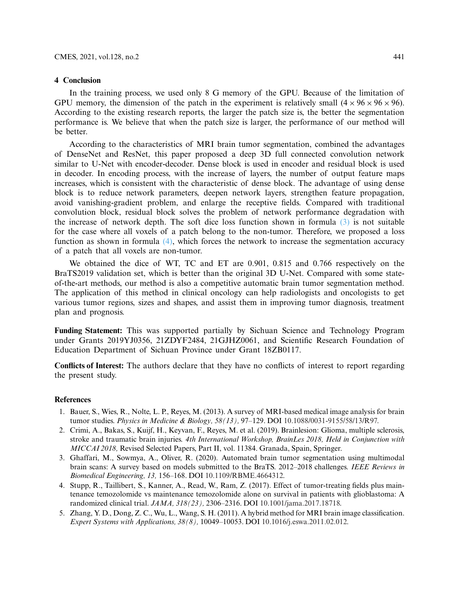# **4 Conclusion**

In the training process, we used only 8 G memory of the GPU. Because of the limitation of GPU memory, the dimension of the patch in the experiment is relatively small  $(4 \times 96 \times 96 \times 96)$ . According to the existing research reports, the larger the patch size is, the better the segmentation performance is. We believe that when the patch size is larger, the performance of our method will be better.

According to the characteristics of MRI brain tumor segmentation, combined the advantages of DenseNet and ResNet, this paper proposed a deep 3D full connected convolution network similar to U-Net with encoder-decoder. Dense block is used in encoder and residual block is used in decoder. In encoding process, with the increase of layers, the number of output feature maps increases, which is consistent with the characteristic of dense block. The advantage of using dense block is to reduce network parameters, deepen network layers, strengthen feature propagation, avoid vanishing-gradient problem, and enlarge the receptive fields. Compared with traditional convolution block, residual block solves the problem of network performance degradation with the increase of network depth. The soft dice loss function shown in formula  $(3)$  is not suitable for the case where all voxels of a patch belong to the non-tumor. Therefore, we proposed a loss function as shown in formula [\(4\),](#page-7-1) which forces the network to increase the segmentation accuracy of a patch that all voxels are non-tumor.

We obtained the dice of WT, TC and ET are 0.901, 0.815 and 0.766 respectively on the BraTS2019 validation set, which is better than the original 3D U-Net. Compared with some stateof-the-art methods, our method is also a competitive automatic brain tumor segmentation method. The application of this method in clinical oncology can help radiologists and oncologists to get various tumor regions, sizes and shapes, and assist them in improving tumor diagnosis, treatment plan and prognosis.

**Funding Statement:** This was supported partially by Sichuan Science and Technology Program under Grants 2019YJ0356, 21ZDYF2484, 21GJHZ0061, and Scientific Research Foundation of Education Department of Sichuan Province under Grant 18ZB0117.

**Conflicts of Interest:** The authors declare that they have no conflicts of interest to report regarding the present study.

# **References**

- <span id="page-14-0"></span>1. Bauer, S., Wies, R., Nolte, L. P., Reyes, M. (2013). A survey of MRI-based medical image analysis for brain tumor studies. *Physics in Medicine & Biology, 58(13),* 97–129. DOI [10.1088/0031-9155/58/13/R97.](http://dx.doi.org/10.1088/0031-9155/58/13/R97)
- <span id="page-14-1"></span>2. Crimi, A., Bakas, S., Kuijf, H., Keyvan, F., Reyes, M. et al. (2019). Brainlesion: Glioma, multiple sclerosis, stroke and traumatic brain injuries. *4th International Workshop, BrainLes 2018, Held in Conjunction with MICCAI 2018,* Revised Selected Papers, Part II, vol. 11384. Granada, Spain, Springer.
- <span id="page-14-2"></span>3. Ghaffari, M., Sowmya, A., Oliver, R. (2020). Automated brain tumor segmentation using multimodal brain scans: A survey based on models submitted to the BraTS. 2012–2018 challenges. *IEEE Reviews in Biomedical Engineering, 13,* 156–168. DOI [10.1109/RBME.4664312.](http://dx.doi.org/10.1109/RBME.4664312)
- <span id="page-14-3"></span>4. Stupp, R., Taillibert, S., Kanner, A., Read, W., Ram, Z. (2017). Effect of tumor-treating fields plus maintenance temozolomide vs maintenance temozolomide alone on survival in patients with glioblastoma: A randomized clinical trial. *JAMA, 318(23),* 2306–2316. DOI [10.1001/jama.2017.18718.](http://dx.doi.org/10.1001/jama.2017.18718)
- <span id="page-14-4"></span>5. Zhang, Y. D., Dong, Z. C., Wu, L., Wang, S. H. (2011). A hybrid method for MRI brain image classification. *Expert Systems with Applications, 38(8),* 10049–10053. DOI [10.1016/j.eswa.2011.02.012.](http://dx.doi.org/10.1016/j.eswa.2011.02.012)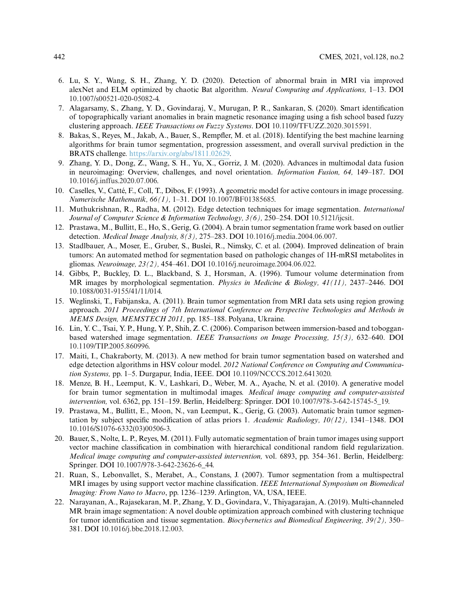- <span id="page-15-0"></span>6. Lu, S. Y., Wang, S. H., Zhang, Y. D. (2020). Detection of abnormal brain in MRI via improved alexNet and ELM optimized by chaotic Bat algorithm. *Neural Computing and Applications,* 1–13. DOI [10.1007/s00521-020-05082-4.](http://dx.doi.org/10.1007/s00521-020-05082-4)
- <span id="page-15-1"></span>7. Alagarsamy, S., Zhang, Y. D., Govindaraj, V., Murugan, P. R., Sankaran, S. (2020). Smart identification of topographically variant anomalies in brain magnetic resonance imaging using a fish school based fuzzy clustering approach. *IEEE Transactions on Fuzzy Systems*. DOI [10.1109/TFUZZ.2020.3015591.](http://dx.doi.org/10.1109/TFUZZ.2020.3015591)
- <span id="page-15-2"></span>8. Bakas, S., Reyes, M., Jakab, A., Bauer, S., Rempfler, M. et al. (2018). Identifying the best machine learning algorithms for brain tumor segmentation, progression assessment, and overall survival prediction in the BRATS challenge. [https://arxiv.org/abs/1811.02629.](https://arxiv.org/abs/1811.02629)
- <span id="page-15-3"></span>9. Zhang, Y. D., Dong, Z., Wang, S. H., Yu, X., Gorriz, J. M. (2020). Advances in multimodal data fusion in neuroimaging: Overview, challenges, and novel orientation. *Information Fusion, 64,* 149–187. DOI [10.1016/j.inffus.2020.07.006.](http://dx.doi.org/10.1016/j.inffus.2020.07.006)
- <span id="page-15-4"></span>10. Caselles, V., Catté, F., Coll, T., Dibos, F. (1993). A geometric model for active contours in image processing. *Numerische Mathematik, 66(1),* 1–31. DOI [10.1007/BF01385685.](http://dx.doi.org/10.1007/BF01385685)
- <span id="page-15-5"></span>11. Muthukrishnan, R., Radha, M. (2012). Edge detection techniques for image segmentation. *International Journal of Computer Science & Information Technology, 3(6),* 250–254. DOI [10.5121/ijcsit.](http://dx.doi.org/10.5121/ijcsit)
- <span id="page-15-6"></span>12. Prastawa, M., Bullitt, E., Ho, S., Gerig, G. (2004). A brain tumor segmentation frame work based on outlier detection. *Medical Image Analysis, 8(3),* 275–283. DOI [10.1016/j.media.2004.06.007.](http://dx.doi.org/10.1016/j.media.2004.06.007)
- <span id="page-15-7"></span>13. Stadlbauer, A., Moser, E., Gruber, S., Buslei, R., Nimsky, C. et al. (2004). Improved delineation of brain tumors: An automated method for segmentation based on pathologic changes of 1H-mRSI metabolites in gliomas. *Neuroimage, 23(2),* 454–461. DOI [10.1016/j.neuroimage.2004.06.022.](http://dx.doi.org/10.1016/j.neuroimage.2004.06.022)
- <span id="page-15-8"></span>14. Gibbs, P., Buckley, D. L., Blackband, S. J., Horsman, A. (1996). Tumour volume determination from MR images by morphological segmentation. *Physics in Medicine & Biology, 41(11),* 2437–2446. DOI [10.1088/0031-9155/41/11/014.](http://dx.doi.org/10.1088/0031-9155/41/11/014)
- <span id="page-15-9"></span>15. Weglinski, T., Fabijanska, A. (2011). Brain tumor segmentation from MRI data sets using region growing approach. *2011 Proceedings of 7th International Conference on Perspective Technologies and Methods in MEMS Design, MEMSTECH 2011,* pp. 185–188. Polyana, Ukraine.
- <span id="page-15-10"></span>16. Lin, Y. C., Tsai, Y. P., Hung, Y. P., Shih, Z. C. (2006). Comparison between immersion-based and tobogganbased watershed image segmentation. *IEEE Transactions on Image Processing, 15(3),* 632–640. DOI [10.1109/TIP.2005.860996.](http://dx.doi.org/10.1109/TIP.2005.860996)
- <span id="page-15-11"></span>17. Maiti, I., Chakraborty, M. (2013). A new method for brain tumor segmentation based on watershed and edge detection algorithms in HSV colour model. *2012 National Conference on Computing and Communication Systems,* pp. 1–5. Durgapur, India, IEEE. DOI [10.1109/NCCCS.2012.6413020.](http://dx.doi.org/10.1109/NCCCS.2012.6413020)
- <span id="page-15-12"></span>18. Menze, B. H., Leemput, K. V., Lashkari, D., Weber, M. A., Ayache, N. et al. (2010). A generative model for brain tumor segmentation in multimodal images. *Medical image computing and computer-assisted intervention,* vol. 6362, pp. 151–159. Berlin, Heidelberg: Springer. DOI [10.1007/978-3-642-15745-5\\_19.](http://dx.doi.org/10.1007/978-3-642-15745-5_19)
- <span id="page-15-13"></span>19. Prastawa, M., Bullitt, E., Moon, N., van Leemput, K., Gerig, G. (2003). Automatic brain tumor segmentation by subject specific modification of atlas priors 1. *Academic Radiology, 10(12),* 1341–1348. DOI [10.1016/S1076-6332\(03\)00506-3.](http://dx.doi.org/10.1016/S1076-6332(03)00506-3)
- <span id="page-15-14"></span>20. Bauer, S., Nolte, L. P., Reyes, M. (2011). Fully automatic segmentation of brain tumor images using support vector machine classification in combination with hierarchical conditional random field regularization. *Medical image computing and computer-assisted intervention,* vol. 6893, pp. 354–361. Berlin, Heidelberg: Springer. DOI [10.1007/978-3-642-23626-6\\_44.](http://dx.doi.org/10.1007/978-3-642-23626-6_44)
- <span id="page-15-15"></span>21. Ruan, S., Lebonvallet, S., Merabet, A., Constans, J. (2007). Tumor segmentation from a multispectral MRI images by using support vector machine classification. *IEEE International Symposium on Biomedical Imaging: From Nano to Macro*, pp. 1236–1239. Arlington, VA, USA, IEEE.
- <span id="page-15-16"></span>22. Narayanan, A., Rajasekaran, M. P., Zhang, Y. D., Govindara, V., Thiyagarajan, A. (2019). Multi-channeled MR brain image segmentation: A novel double optimization approach combined with clustering technique for tumor identification and tissue segmentation. *Biocybernetics and Biomedical Engineering, 39(2),* 350– 381. DOI [10.1016/j.bbe.2018.12.003.](http://dx.doi.org/10.1016/j.bbe.2018.12.003)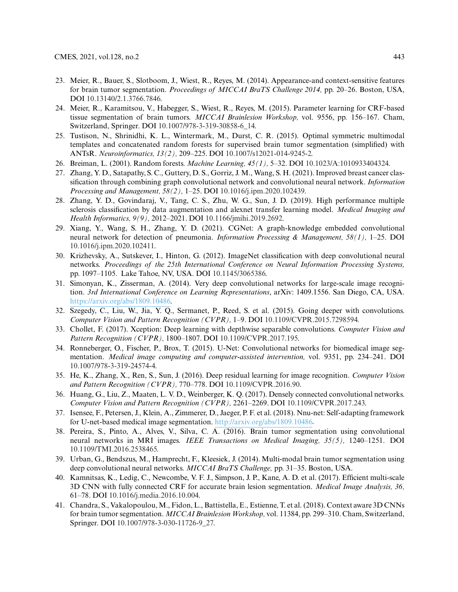- <span id="page-16-1"></span>23. Meier, R., Bauer, S., Slotboom, J., Wiest, R., Reyes, M. (2014). Appearance-and context-sensitive features for brain tumor segmentation. *Proceedings of MICCAI BraTS Challenge 2014,* pp. 20–26. Boston, USA, DOI [10.13140/2.1.3766.7846.](http://dx.doi.org/10.13140/2.1.3766.7846)
- <span id="page-16-2"></span>24. Meier, R., Karamitsou, V., Habegger, S., Wiest, R., Reyes, M. (2015). Parameter learning for CRF-based tissue segmentation of brain tumors. *MICCAI Brainlesion Workshop,* vol. 9556, pp. 156–167. Cham, Switzerland, Springer. DOI [10.1007/978-3-319-30858-6\\_14.](http://dx.doi.org/10.1007/978-3-319-30858-6_14)
- <span id="page-16-3"></span>25. Tustison, N., Shrinidhi, K. L., Wintermark, M., Durst, C. R. (2015). Optimal symmetric multimodal templates and concatenated random forests for supervised brain tumor segmentation (simplified) with ANTsR. *Neuroinformatics, 13(2),* 209–225. DOI [10.1007/s12021-014-9245-2.](http://dx.doi.org/10.1007/s12021-014-9245-2)
- <span id="page-16-0"></span>26. Breiman, L. (2001). Random forests. *Machine Learning, 45(1),* 5–32. DOI [10.1023/A:1010933404324.](http://dx.doi.org/10.1023/A:1010933404324)
- <span id="page-16-4"></span>27. Zhang, Y. D., Satapathy, S. C., Guttery, D. S., Gorriz, J. M., Wang, S. H. (2021). Improved breast cancer classification through combining graph convolutional network and convolutional neural network. *Information Processing and Management, 58(2),* 1–25. DOI [10.1016/j.ipm.2020.102439.](http://dx.doi.org/10.1016/j.ipm.2020.102439)
- 28. Zhang, Y. D., Govindaraj, V., Tang, C. S., Zhu, W. G., Sun, J. D. (2019). High performance multiple sclerosis classification by data augmentation and alexnet transfer learning model. *Medical Imaging and Health Informatics, 9(9),* 2012–2021. DOI [10.1166/jmihi.2019.2692.](http://dx.doi.org/10.1166/jmihi.2019.2692)
- <span id="page-16-5"></span>29. Xiang, Y., Wang, S. H., Zhang, Y. D. (2021). CGNet: A graph-knowledge embedded convolutional neural network for detection of pneumonia. *Information Processing & Management, 58(1),* 1–25. DOI [10.1016/j.ipm.2020.102411.](http://dx.doi.org/10.1016/j.ipm.2020.102411)
- <span id="page-16-6"></span>30. Krizhevsky, A., Sutskever, I., Hinton, G. (2012). ImageNet classification with deep convolutional neural networks. *Proceedings of the 25th International Conference on Neural Information Processing Systems,* pp. 1097–1105. Lake Tahoe, NV, USA. DOI [10.1145/3065386.](http://dx.doi.org/10.1145/3065386)
- <span id="page-16-7"></span>31. Simonyan, K., Zisserman, A. (2014). Very deep convolutional networks for large-scale image recognition. *3rd International Conference on Learning Representations*, arXiv: 1409.1556. San Diego, CA, USA. [https://arxiv.org/abs/1809.10486.](https://arxiv.org/abs/1809.10486)
- <span id="page-16-8"></span>32. Szegedy, C., Liu, W., Jia, Y. Q., Sermanet, P., Reed, S. et al. (2015). Going deeper with convolutions. *Computer Vision and Pattern Recognition (CVPR),* 1–9. DOI [10.1109/CVPR.2015.7298594.](http://dx.doi.org/10.1109/CVPR.2015.7298594)
- <span id="page-16-9"></span>33. Chollet, F. (2017). Xception: Deep learning with depthwise separable convolutions. *Computer Vision and Pattern Recognition (CVPR),* 1800–1807. DOI [10.1109/CVPR.2017.195.](http://dx.doi.org/10.1109/CVPR.2017.195)
- <span id="page-16-10"></span>34. Ronneberger, O., Fischer, P., Brox, T. (2015). U-Net: Convolutional networks for biomedical image segmentation. *Medical image computing and computer-assisted intervention,* vol. 9351, pp. 234–241. DOI [10.1007/978-3-319-24574-4.](http://dx.doi.org/10.1007/978-3-319-24574-4)
- <span id="page-16-11"></span>35. He, K., Zhang, X., Ren, S., Sun, J. (2016). Deep residual learning for image recognition. *Computer Vision and Pattern Recognition (CVPR),* 770–778. DOI [10.1109/CVPR.2016.90.](http://dx.doi.org/10.1109/CVPR.2016.90)
- <span id="page-16-12"></span>36. Huang, G., Liu, Z., Maaten, L. V. D., Weinberger, K. Q. (2017). Densely connected convolutional networks. *Computer Vision and Pattern Recognition (CVPR),* 2261–2269. DOI [10.1109/CVPR.2017.243.](http://dx.doi.org/10.1109/CVPR.2017.243)
- <span id="page-16-13"></span>37. Isensee, F., Petersen, J., Klein, A., Zimmerer, D., Jaeger, P. F. et al. (2018). Nnu-net: Self-adapting framework for U-net-based medical image segmentation. [http://arxiv.org/abs/1809.10486.](http://arxiv.org/abs/1809.10486)
- <span id="page-16-14"></span>38. Pereira, S., Pinto, A., Alves, V., Silva, C. A. (2016). Brain tumor segmentation using convolutional neural networks in MRI images. *IEEE Transactions on Medical Imaging, 35(5),* 1240–1251. DOI [10.1109/TMI.2016.2538465.](http://dx.doi.org/10.1109/TMI.2016.2538465)
- <span id="page-16-15"></span>39. Urban, G., Bendszus, M., Hamprecht, F., Kleesiek, J. (2014). Multi-modal brain tumor segmentation using deep convolutional neural networks. *MICCAI BraTS Challenge,* pp. 31–35. Boston, USA.
- <span id="page-16-16"></span>40. Kamnitsas, K., Ledig, C., Newcombe, V. F. J., Simpson, J. P., Kane, A. D. et al. (2017). Efficient multi-scale 3D CNN with fully connected CRF for accurate brain lesion segmentation. *Medical Image Analysis, 36,* 61–78. DOI [10.1016/j.media.2016.10.004.](http://dx.doi.org/10.1016/j.media.2016.10.004)
- 41. Chandra, S., Vakalopoulou,M., Fidon, L., Battistella, E., Estienne, T. et al. (2018). Context aware 3D CNNs for brain tumor segmentation. *MICCAI Brainlesion Workshop,* vol. 11384, pp. 299–310. Cham, Switzerland, Springer. DOI 10.1007/978-3-030-11726-9 27.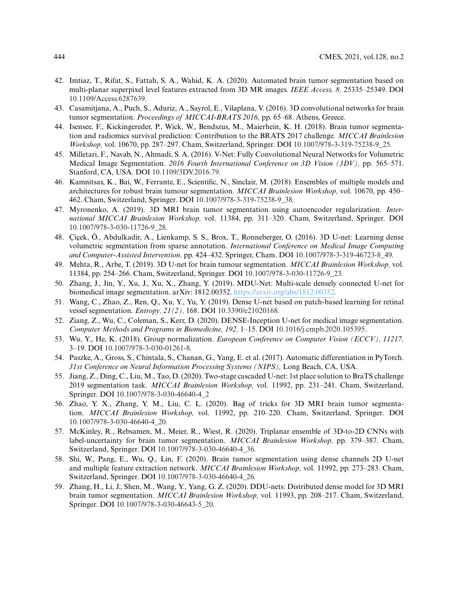- <span id="page-17-0"></span>42. Imtiaz, T., Rifat, S., Fattah, S. A., Wahid, K. A. (2020). Automated brain tumor segmentation based on multi-planar superpixel level features extracted from 3D MR images. *IEEE Access, 8,* 25335–25349. DOI [10.1109/Access.6287639.](http://dx.doi.org/10.1109/Access.6287639)
- <span id="page-17-1"></span>43. Casamitjana, A., Puch, S., Aduriz, A., Sayrol, E., Vilaplana, V. (2016). 3D convolutional networks for brain tumor segmentation. *Proceedings of MICCAI-BRATS 2016,* pp. 65–68. Athens, Greece.
- <span id="page-17-8"></span>44. Isensee, F., Kickingereder, P., Wick, W., Bendszus, M., Maierhein, K. H. (2018). Brain tumor segmentation and radiomics survival prediction: Contribution to the BRATS 2017 challenge. *MICCAI Brainlesion Workshop,* vol. 10670, pp. 287–297. Cham, Switzerland, Springer. DOI [10.1007/978-3-319-75238-9\\_25.](http://dx.doi.org/10.1007/978-3-319-75238-9_25)
- 45. Milletari, F., Navab, N., Ahmadi, S. A. (2016). V-Net: Fully Convolutional Neural Networks for Volumetric Medical Image Segmentation. *2016 Fourth International Conference on 3D Vision (3DV),* pp. 565–571. Stanford, CA, USA. DOI [10.1109/3DV.2016.79.](http://dx.doi.org/10.1109/3DV.2016.79)
- 46. Kamnitsas, K., Bai, W., Ferrante, E., Scientific, N., Sinclair, M. (2018). Ensembles of multiple models and architectures for robust brain tumour segmentation. *MICCAI Brainlesion Workshop,* vol. 10670, pp. 450– 462. Cham, Switzerland, Springer. DOI [10.1007/978-3-319-75238-9\\_38.](http://dx.doi.org/10.1007/978-3-319-75238-9_38)
- <span id="page-17-2"></span>47. Myronenko, A. (2019). 3D MRI brain tumor segmentation using autoencoder regularization. *International MICCAI Brainlesion Workshop,* vol. 11384, pp. 311–320. Cham, Switzerland, Springer. DOI [10.1007/978-3-030-11726-9\\_28.](http://dx.doi.org/10.1007/978-3-030-11726-9_28)
- <span id="page-17-3"></span>48. Çiçek, Ö., Abdulkadir, A., Lienkamp, S. S., Brox, T., Ronneberger, O. (2016). 3D U-net: Learning dense volumetric segmentation from sparse annotation. *International Conference on Medical Image Computing and Computer-Assisted Intervention*. pp. 424–432. Springer, Cham. DOI [10.1007/978-3-319-46723-8\\_49.](http://dx.doi.org/10.1007/978-3-319-46723-8_49)
- <span id="page-17-4"></span>49. Mehta, R., Arbe, T. (2019). 3D U-net for brain tumour segmentation. *MICCAI Brainlesion Workshop,* vol. 11384, pp. 254–266. Cham, Switzerland, Springer. DOI [10.1007/978-3-030-11726-9\\_23.](http://dx.doi.org/10.1007/978-3-030-11726-9_23)
- <span id="page-17-5"></span>50. Zhang, J., Jin, Y., Xu, J., Xu, X., Zhang, Y. (2019). MDU-Net: Multi-scale densely connected U-net for biomedical image segmentation. arXiv: 1812.00352. [https://arxiv.org/abs/1812.00352.](https://arxiv.org/abs/1812.00352)
- <span id="page-17-6"></span>51. Wang, C., Zhao, Z., Ren, Q., Xu, Y., Yu, Y. (2019). Dense U-net based on patch-based learning for retinal vessel segmentation. *Entropy, 21(2),* 168. DOI [10.3390/e21020168.](http://dx.doi.org/10.3390/e21020168)
- <span id="page-17-7"></span>52. Ziang, Z., Wu, C., Coleman, S., Kerr, D. (2020). DENSE-Inception U-net for medical image segmentation. *Computer Methods and Programs in Biomedicine, 192,* 1–15. DOI [10.1016/j.cmpb.2020.105395.](http://dx.doi.org/10.1016/j.cmpb.2020.105395.~)
- <span id="page-17-9"></span>53. Wu, Y., He, K. (2018). Group normalization. *European Conference on Computer Vision (ECCV), 11217,* 3–19. DOI [10.1007/978-3-030-01261-8.](http://dx.doi.org/10.1007/978-3-030-01261-8)
- <span id="page-17-10"></span>54. Paszke, A., Gross, S., Chintala, S., Chanan, G., Yang, E. et al. (2017). Automatic differentiation in PyTorch. *31st Conference on Neural Information Processing Systems (NIPS),* Long Beach, CA, USA.
- <span id="page-17-11"></span>55. Jiang, Z., Ding, C., Liu, M., Tao, D. (2020). Two-stage cascaded U-net: 1st place solution to BraTS challenge 2019 segmentation task. *MICCAI Brainlesion Workshop,* vol. 11992, pp. 231–241. Cham, Switzerland, Springer. DOI [10.1007/978-3-030-46640-4\\_2](http://dx.doi.org/10.1007/978-3-030-46640-4_2)
- <span id="page-17-12"></span>56. Zhao, Y. X., Zhang, Y. M., Liu, C. L. (2020). Bag of tricks for 3D MRI brain tumor segmentation. *MICCAI Brainlesion Workshop,* vol. 11992, pp. 210–220. Cham, Switzerland, Springer. DOI [10.1007/978-3-030-46640-4\\_20.](http://dx.doi.org/10.1007/978-3-030-46640-4_20)
- <span id="page-17-13"></span>57. McKinley, R., Rebsamen, M., Meier, R., Wiest, R. (2020). Triplanar ensemble of 3D-to-2D CNNs with label-uncertainty for brain tumor segmentation. *MICCAI Brainlesion Workshop,* pp. 379–387. Cham, Switzerland, Springer. DOI [10.1007/978-3-030-46640-4\\_36.](http://dx.doi.org/10.1007/978-3-030-46640-4_36)
- <span id="page-17-14"></span>58. Shi, W., Pang, E., Wu, Q., Lin, F. (2020). Brain tumor segmentation using dense channels 2D U-net and multiple feature extraction network. *MICCAI Brainlesion Workshop,* vol. 11992, pp. 273–283. Cham, Switzerland, Springer. DOI [10.1007/978-3-030-46640-4\\_26.](http://dx.doi.org/10.1007/978-3-030-46640-4_26)
- <span id="page-17-15"></span>59. Zhang, H., Li, J., Shen, M., Wang, Y., Yang, G. Z. (2020). DDU-nets: Distributed dense model for 3D MRI brain tumor segmentation. *MICCAI Brainlesion Workshop,* vol. 11993, pp. 208–217. Cham, Switzerland, Springer. DOI [10.1007/978-3-030-46643-5\\_20.](http://dx.doi.org/10.1007/978-3-030-46643-5_20)